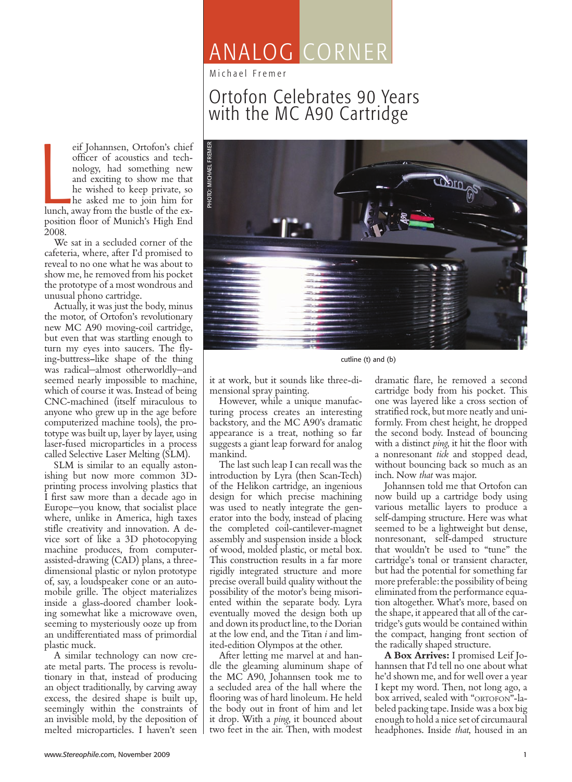# ANALOG CORNER

Michael Fremer

## Ortofon Celebrates 90 Years with the MC A90 Cartridge

eif Johannsen, Ortofon's chief<br>officer of acoustics and tech-<br>nology, had something new<br>and exciting to show me that<br>he wished to keep private, so<br>he asked me to join him for<br>lunch, away from the bustle of the exeif Johannsen, Ortofon's chief officer of acoustics and technology, had something new and exciting to show me that he wished to keep private, so he asked me to join him for position floor of Munich's High End 2008.

We sat in a secluded corner of the cafeteria, where, after I'd promised to reveal to no one what he was about to show me, he removed from his pocket the prototype of a most wondrous and unusual phono cartridge.

Actually, it was just the body, minus the motor, of Ortofon's revolutionary new MC A90 moving-coil cartridge, but even that was startling enough to turn my eyes into saucers. The flying-buttress–like shape of the thing was radical—almost otherworldly—and seemed nearly impossible to machine, which of course it was. Instead of being CNC-machined (itself miraculous to anyone who grew up in the age before computerized machine tools), the prototype was built up, layer by layer, using laser-fused microparticles in a process called Selective Laser Melting (SLM).

SLM is similar to an equally astonishing but now more common 3Dprinting process involving plastics that I first saw more than a decade ago in Europe—you know, that socialist place where, unlike in America, high taxes stifle creativity and innovation. A device sort of like a 3D photocopying machine produces, from computerassisted-drawing (CAD) plans, a threedimensional plastic or nylon prototype of, say, a loudspeaker cone or an automobile grille. The object materializes inside a glass-doored chamber looking somewhat like a microwave oven, seeming to mysteriously ooze up from an undifferentiated mass of primordial plastic muck.

A similar technology can now create metal parts. The process is revolutionary in that, instead of producing an object traditionally, by carving away excess, the desired shape is built up, seemingly within the constraints of an invisible mold, by the deposition of melted microparticles. I haven't seen



cutline (t) and (b)

it at work, but it sounds like three-dimensional spray painting.

However, while a unique manufacturing process creates an interesting backstory, and the MC A90's dramatic appearance is a treat, nothing so far suggests a giant leap forward for analog mankind.

The last such leap I can recall was the introduction by Lyra (then Scan-Tech) of the Helikon cartridge, an ingenious design for which precise machining was used to neatly integrate the generator into the body, instead of placing the completed coil-cantilever-magnet assembly and suspension inside a block of wood, molded plastic, or metal box. This construction results in a far more rigidly integrated structure and more precise overall build quality without the possibility of the motor's being misoriented within the separate body. Lyra eventually moved the design both up and down its product line, to the Dorian at the low end, and the Titan *i* and limited-edition Olympos at the other.

After letting me marvel at and handle the gleaming aluminum shape of the MC A90, Johannsen took me to a secluded area of the hall where the flooring was of hard linoleum. He held the body out in front of him and let it drop. With a *ping*, it bounced about two feet in the air. Then, with modest

dramatic flare, he removed a second cartridge body from his pocket. This one was layered like a cross section of stratified rock, but more neatly and uniformly. From chest height, he dropped the second body. Instead of bouncing with a distinct *ping*, it hit the floor with a nonresonant *tick* and stopped dead, without bouncing back so much as an inch. Now *that* was major.

Johannsen told me that Ortofon can now build up a cartridge body using various metallic layers to produce a self-damping structure. Here was what seemed to be a lightweight but dense, nonresonant, self-damped structure that wouldn't be used to "tune" the cartridge's tonal or transient character, but had the potential for something far more preferable: the possibility of being eliminated from the performance equation altogether. What's more, based on the shape, it appeared that all of the cartridge's guts would be contained within the compact, hanging front section of the radically shaped structure.

**A Box Arrives:** I promised Leif Johannsen that I'd tell no one about what he'd shown me, and for well over a year I kept my word. Then, not long ago, a box arrived, sealed with "ORTOFON"-labeled packing tape. Inside was a box big enough to hold a nice set of circumaural headphones. Inside *that*, housed in an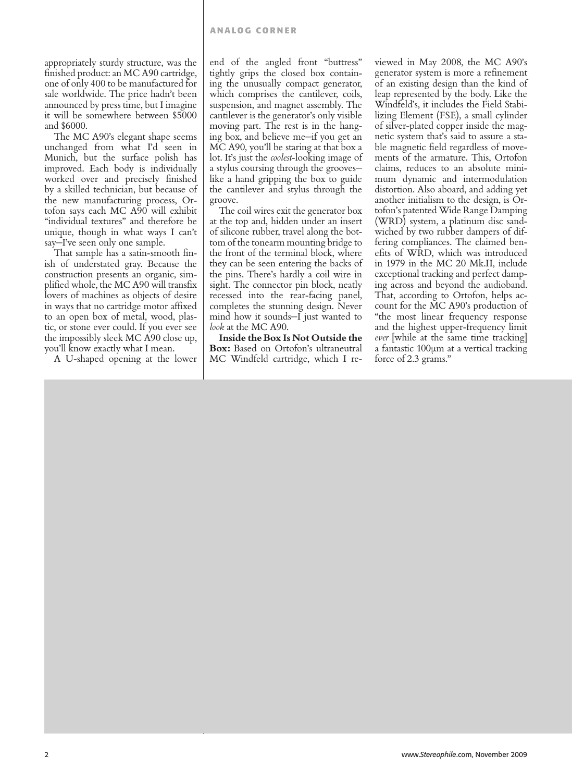#### **ANALOG CORNER**

appropriately sturdy structure, was the finished product: an MC A90 cartridge, one of only 400 to be manufactured for sale worldwide. The price hadn't been announced by press time, but I imagine it will be somewhere between \$5000 and \$6000.

The MC A90's elegant shape seems unchanged from what I'd seen in Munich, but the surface polish has improved. Each body is individually worked over and precisely finished by a skilled technician, but because of the new manufacturing process, Ortofon says each MC A90 will exhibit "individual textures" and therefore be unique, though in what ways I can't say—I've seen only one sample.

That sample has a satin-smooth finish of understated gray. Because the construction presents an organic, simplified whole, the MC A90 will transfix lovers of machines as objects of desire in ways that no cartridge motor affixed to an open box of metal, wood, plastic, or stone ever could. If you ever see the impossibly sleek MC A90 close up, you'll know exactly what I mean.

A U-shaped opening at the lower

end of the angled front "buttress" tightly grips the closed box containing the unusually compact generator, which comprises the cantilever, coils, suspension, and magnet assembly. The cantilever is the generator's only visible moving part. The rest is in the hanging box, and believe me—if you get an MC A90, you'll be staring at that box a lot. It's just the *coolest*-looking image of a stylus coursing through the grooves like a hand gripping the box to guide the cantilever and stylus through the groove.

The coil wires exit the generator box at the top and, hidden under an insert of silicone rubber, travel along the bottom of the tonearm mounting bridge to the front of the terminal block, where they can be seen entering the backs of the pins. There's hardly a coil wire in sight. The connector pin block, neatly recessed into the rear-facing panel, completes the stunning design. Never mind how it sounds—I just wanted to *look* at the MC A90.

**Inside the Box Is Not Outside the Box:** Based on Ortofon's ultraneutral MC Windfeld cartridge, which I re-

viewed in May 2008, the MC A90's generator system is more a refinement of an existing design than the kind of leap represented by the body. Like the Windfeld's, it includes the Field Stabilizing Element (FSE), a small cylinder of silver-plated copper inside the magnetic system that's said to assure a stable magnetic field regardless of movements of the armature. This, Ortofon claims, reduces to an absolute minimum dynamic and intermodulation distortion. Also aboard, and adding yet another initialism to the design, is Ortofon's patented Wide Range Damping (WRD) system, a platinum disc sandwiched by two rubber dampers of differing compliances. The claimed benefits of WRD, which was introduced in 1979 in the MC 20 Mk.II, include exceptional tracking and perfect damping across and beyond the audioband. That, according to Ortofon, helps account for the MC A90's production of "the most linear frequency response and the highest upper-frequency limit *ever* [while at the same time tracking] a fantastic 100µm at a vertical tracking force of 2.3 grams."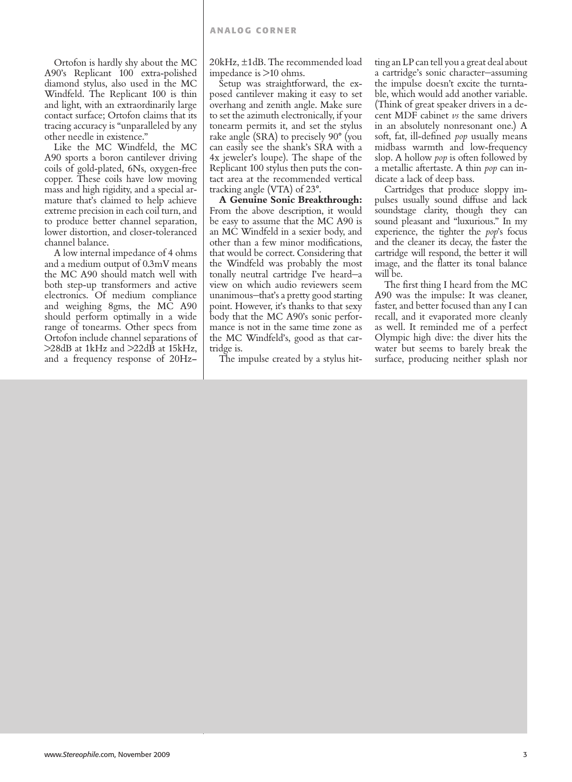Ortofon is hardly shy about the MC A90's Replicant 100 extra-polished diamond stylus, also used in the MC Windfeld. The Replicant 100 is thin and light, with an extraordinarily large contact surface; Ortofon claims that its tracing accuracy is "unparalleled by any other needle in existence."

Like the MC Windfeld, the MC A90 sports a boron cantilever driving coils of gold-plated, 6Ns, oxygen-free copper. These coils have low moving mass and high rigidity, and a special armature that's claimed to help achieve extreme precision in each coil turn, and to produce better channel separation, lower distortion, and closer-toleranced channel balance.

A low internal impedance of 4 ohms and a medium output of 0.3mV means the MC A90 should match well with both step-up transformers and active electronics. Of medium compliance and weighing 8gms, the MC A90 should perform optimally in a wide range of tonearms. Other specs from Ortofon include channel separations of >28dB at 1kHz and >22dB at 15kHz, and a frequency response of 20Hz–

20kHz, ±1dB. The recommended load impedance is >10 ohms.

Setup was straightforward, the exposed cantilever making it easy to set overhang and zenith angle. Make sure to set the azimuth electronically, if your tonearm permits it, and set the stylus rake angle (SRA) to precisely 90° (you can easily see the shank's SRA with a 4x jeweler's loupe). The shape of the Replicant 100 stylus then puts the contact area at the recommended vertical tracking angle (VTA) of 23°.

**A Genuine Sonic Breakthrough:**  From the above description, it would be easy to assume that the MC A90 is an MC Windfeld in a sexier body, and other than a few minor modifications, that would be correct. Considering that the Windfeld was probably the most tonally neutral cartridge I've heard—a view on which audio reviewers seem unanimous—that's a pretty good starting point. However, it's thanks to that sexy body that the MC A90's sonic performance is not in the same time zone as the MC Windfeld's, good as that cartridge is.

The impulse created by a stylus hit-

ting an LP can tell you a great deal about a cartridge's sonic character—assuming the impulse doesn't excite the turntable, which would add another variable. (Think of great speaker drivers in a decent MDF cabinet *vs* the same drivers in an absolutely nonresonant one.) A soft, fat, ill-defined *pop* usually means midbass warmth and low-frequency slop. A hollow *pop* is often followed by a metallic aftertaste. A thin *pop* can indicate a lack of deep bass.

Cartridges that produce sloppy impulses usually sound diffuse and lack soundstage clarity, though they can sound pleasant and "luxurious." In my experience, the tighter the *pop*'s focus and the cleaner its decay, the faster the cartridge will respond, the better it will image, and the flatter its tonal balance will be.

The first thing I heard from the MC A90 was the impulse: It was cleaner, faster, and better focused than any I can recall, and it evaporated more cleanly as well. It reminded me of a perfect Olympic high dive: the diver hits the water but seems to barely break the surface, producing neither splash nor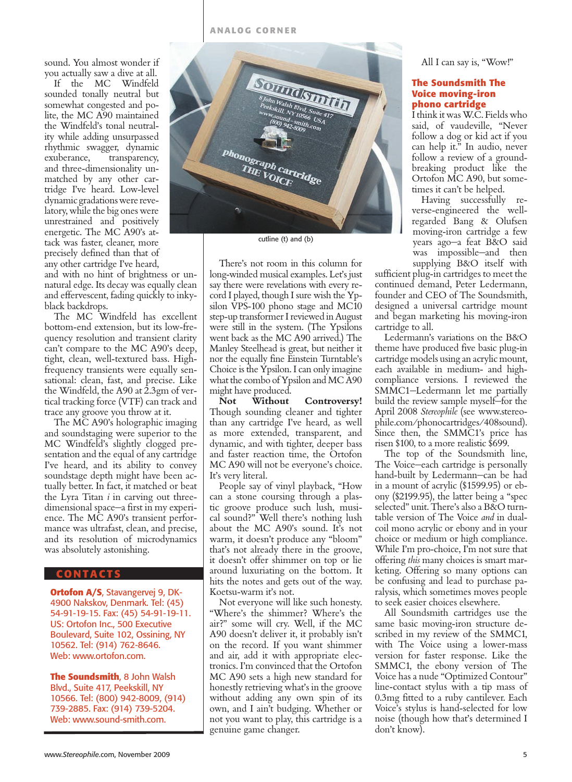sound. You almost wonder if you actually saw a dive at all.

If the MC Windfeld sounded tonally neutral but somewhat congested and polite, the MC A90 maintained the Windfeld's tonal neutrality while adding unsurpassed rhythmic swagger, dynamic exuberance, transparency, and three-dimensionality unmatched by any other cartridge I've heard. Low-level dynamic gradations were revelatory, while the big ones were unrestrained and positively energetic. The MC A90's attack was faster, cleaner, more precisely defined than that of any other cartridge I've heard,

and with no hint of brightness or unnatural edge. Its decay was equally clean and effervescent, fading quickly to inkyblack backdrops.

The MC Windfeld has excellent bottom-end extension, but its low-frequency resolution and transient clarity can't compare to the MC A90's deep, tight, clean, well-textured bass. Highfrequency transients were equally sensational: clean, fast, and precise. Like the Windfeld, the A90 at 2.3gm of vertical tracking force (VTF) can track and trace any groove you throw at it.

The MC A90's holographic imaging and soundstaging were superior to the MC Windfeld's slightly clogged presentation and the equal of any cartridge I've heard, and its ability to convey soundstage depth might have been actually better. In fact, it matched or beat the Lyra Titan *i* in carving out threedimensional space—a first in my experience. The MC A90's transient performance was ultrafast, clean, and precise, and its resolution of microdynamics was absolutely astonishing.

### **C ontacts**

**Ortofon A/S**, Stavangervej 9, DK-4900 Nakskov, Denmark. Tel: (45) 54-91-19-15. Fax: (45) 54-91-19-11. US: Ortofon Inc., 500 Executive Boulevard, Suite 102, Ossining, NY 10562. Tel: (914) 762-8646. Web: www.ortofon.com.

**The Soundsmith**, 8 John Walsh Blvd., Suite 417, Peekskill, NY 10566. Tel: (800) 942-8009, (914) 739-2885. Fax: (914) 739-5204. Web: www.sound-smith.com.



cutline (t) and (b)

There's not room in this column for long-winded musical examples. Let's just say there were revelations with every record I played, though I sure wish the Ypsilon VPS-100 phono stage and MC10 step-up transformer I reviewed in August were still in the system. (The Ypsilons went back as the MC A90 arrived.) The Manley Steelhead is great, but neither it nor the equally fine Einstein Turntable's Choice is the Ypsilon. I can only imagine what the combo of Ypsilon and MC A90 might have produced.

**Not Without Controversy!**  Though sounding cleaner and tighter than any cartridge I've heard, as well as more extended, transparent, and dynamic, and with tighter, deeper bass and faster reaction time, the Ortofon MC A90 will not be everyone's choice. It's very literal.

People say of vinyl playback, "How can a stone coursing through a plastic groove produce such lush, musical sound?" Well there's nothing lush about the MC A90's sound. It's not warm, it doesn't produce any "bloom" that's not already there in the groove, it doesn't offer shimmer on top or lie around luxuriating on the bottom. It hits the notes and gets out of the way. Koetsu-warm it's not.

Not everyone will like such honesty. "Where's the shimmer? Where's the air?" some will cry. Well, if the MC A90 doesn't deliver it, it probably isn't on the record. If you want shimmer and air, add it with appropriate electronics. I'm convinced that the Ortofon MC A90 sets a high new standard for honestly retrieving what's in the groove without adding any own spin of its own, and I ain't budging. Whether or not you want to play, this cartridge is a genuine game changer.

All I can say is, "Wow!"

#### **The Soundsmith The Voice moving-iron phono cartridge**

I think it was W.C. Fields who said, of vaudeville, "Never follow a dog or kid act if you can help it." In audio, never follow a review of a groundbreaking product like the Ortofon MC A90, but sometimes it can't be helped.

Having successfully reverse-engineered the wellregarded Bang & Olufsen moving-iron cartridge a few years ago—a feat B&O said was impossible—and then supplying B&O itself with

sufficient plug-in cartridges to meet the continued demand, Peter Ledermann, founder and CEO of The Soundsmith, designed a universal cartridge mount and began marketing his moving-iron cartridge to all.

Ledermann's variations on the B&O theme have produced five basic plug-in cartridge models using an acrylic mount, each available in medium- and highcompliance versions. I reviewed the SMMC1—Ledermann let me partially build the review sample myself—for the April 2008 *Stereophile* (see www.stereophile.com/phonocartridges/408sound). Since then, the SMMC1's price has risen \$100, to a more realistic \$699.

The top of the Soundsmith line, The Voice—each cartridge is personally hand-built by Ledermann—can be had in a mount of acrylic (\$1599.95) or ebony (\$2199.95), the latter being a "spec selected" unit. There's also a B&O turntable version of The Voice *and* in dualcoil mono acrylic or ebony and in your choice or medium or high compliance. While I'm pro-choice, I'm not sure that offering *this* many choices is smart marketing. Offering so many options can be confusing and lead to purchase paralysis, which sometimes moves people to seek easier choices elsewhere.

All Soundsmith cartridges use the same basic moving-iron structure described in my review of the SMMC1, with The Voice using a lower-mass version for faster response. Like the SMMC1, the ebony version of The Voice has a nude "Optimized Contour" line-contact stylus with a tip mass of 0.3mg fitted to a ruby cantilever. Each Voice's stylus is hand-selected for low noise (though how that's determined I don't know).